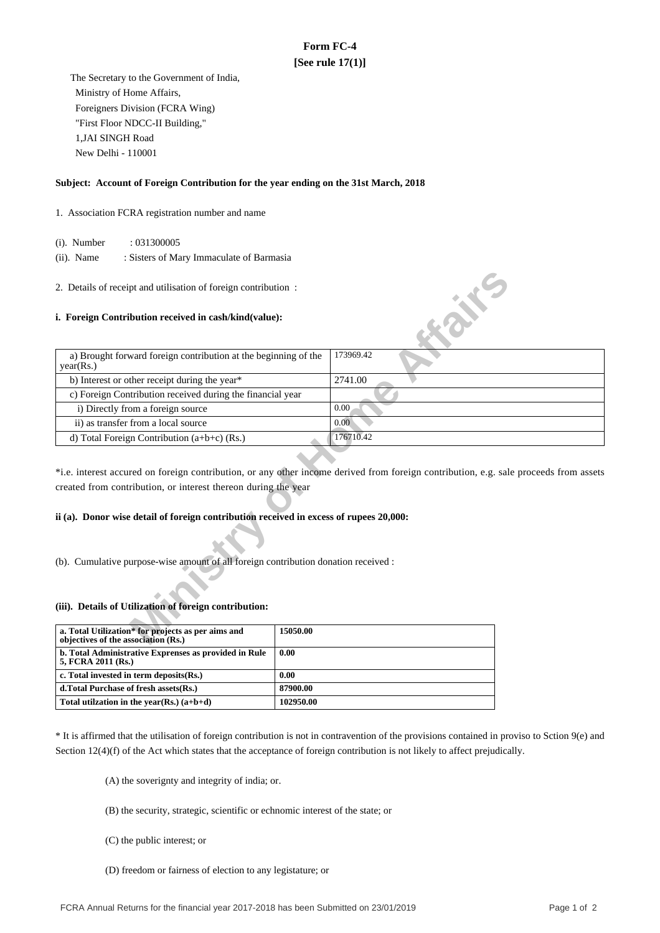# **Form FC-4 [See rule 17(1)]**

 The Secretary to the Government of India, Ministry of Home Affairs, Foreigners Division (FCRA Wing) "First Floor NDCC-II Building," 1,JAI SINGH Road New Delhi - 110001

### **Subject: Account of Foreign Contribution for the year ending on the 31st March, 2018**

#### 1. Association FCRA registration number and name

(i). Number : 031300005

 (ii). Name : Sisters of Mary Immaculate of Barmasia

#### **i. Foreign Contribution received in cash/kind(value):**

| 2. Details of receipt and utilisation of foreign contribution:                            |                                                                                                                                       |
|-------------------------------------------------------------------------------------------|---------------------------------------------------------------------------------------------------------------------------------------|
| i. Foreign Contribution received in cash/kind(value):                                     | <b>SILLER</b>                                                                                                                         |
| a) Brought forward foreign contribution at the beginning of the<br>year(Rs.)              | 173969.42                                                                                                                             |
| b) Interest or other receipt during the year*                                             | 2741.00                                                                                                                               |
| c) Foreign Contribution received during the financial year                                |                                                                                                                                       |
| i) Directly from a foreign source                                                         | 0.00                                                                                                                                  |
| ii) as transfer from a local source                                                       | 0.00                                                                                                                                  |
| d) Total Foreign Contribution $(a+b+c)$ (Rs.)                                             | 176710.42                                                                                                                             |
| created from contribution, or interest thereon during the year                            | *i.e. interest accured on foreign contribution, or any other income derived from foreign contribution, e.g. sale proceeds from assets |
| ii (a). Donor wise detail of foreign contribution received in excess of rupees 20,000:    |                                                                                                                                       |
| (b). Cumulative purpose-wise amount of all foreign contribution donation received :       |                                                                                                                                       |
| (iii). Details of Utilization of foreign contribution:                                    |                                                                                                                                       |
| a. Total Utilization* for projects as per aims and<br>objectives of the association (Rs.) | 15050.00                                                                                                                              |

## **ii (a). Donor wise detail of foreign contribution received in excess of rupees 20,000:**

#### **(iii). Details of Utilization of foreign contribution:**

| a. Total Utilization <sup>*</sup> for projects as per aims and<br>objectives of the association (Rs.) | 15050.00  |
|-------------------------------------------------------------------------------------------------------|-----------|
| b. Total Administrative Exprenses as provided in Rule<br>5, FCRA 2011 (Rs.)                           | 0.00      |
| c. Total invested in term deposits(Rs.)                                                               | 0.00      |
| d. Total Purchase of fresh assets (Rs.)                                                               | 87900.00  |
| Total utilization in the year(Rs.) $(a+b+d)$                                                          | 102950.00 |

\* It is affirmed that the utilisation of foreign contribution is not in contravention of the provisions contained in proviso to Sction 9(e) and Section 12(4)(f) of the Act which states that the acceptance of foreign contribution is not likely to affect prejudically.

(A) the soverignty and integrity of india; or.

- (B) the security, strategic, scientific or echnomic interest of the state; or
- (C) the public interest; or
- (D) freedom or fairness of election to any legistature; or